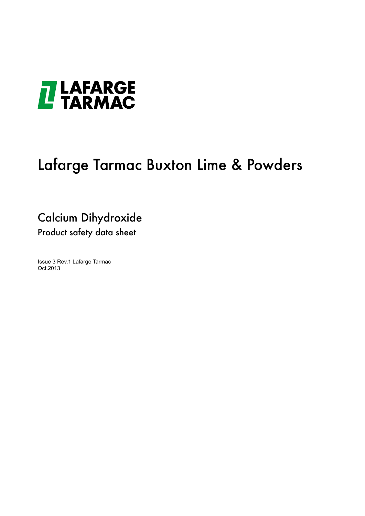

# Lafarge Tarmac Buxton Lime & Powders

### Calcium Dihydroxide Product safety data sheet

Issue 3 Rev.1 Lafarge Tarmac Oct.2013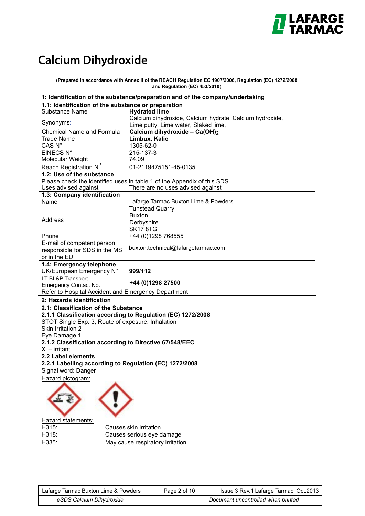

## **Calcium Dihydroxide**

**y y** (**Prepared in accordance with Annex II of the REACH Regulation EC 1907/2006, Regulation (EC) 1272/2008 and Regulation (EC) 453/2010**)

| 1: Identification of the substance/preparation and of the company/undertaking |                                                                                                               |  |
|-------------------------------------------------------------------------------|---------------------------------------------------------------------------------------------------------------|--|
| 1.1: Identification of the substance or preparation                           |                                                                                                               |  |
| Substance Name                                                                | <b>Hydrated lime</b>                                                                                          |  |
| Synonyms:                                                                     | Calcium dihydroxide, Calcium hydrate, Calcium hydroxide,<br>Lime putty, Lime water, Slaked lime,              |  |
| <b>Chemical Name and Formula</b>                                              | Calcium dihydroxide - Ca(OH) <sub>2</sub>                                                                     |  |
| <b>Trade Name</b>                                                             | Limbux, Kalic                                                                                                 |  |
| CAS <sub>N°</sub>                                                             | 1305-62-0                                                                                                     |  |
| EINECS N°                                                                     | 215-137-3                                                                                                     |  |
| Molecular Weight                                                              | 74.09                                                                                                         |  |
| Reach Registration N <sup>o</sup>                                             | 01-2119475151-45-0135                                                                                         |  |
| 1.2: Use of the substance                                                     |                                                                                                               |  |
| Uses advised against                                                          | Please check the identified uses in table 1 of the Appendix of this SDS.<br>There are no uses advised against |  |
| 1.3: Company identification                                                   |                                                                                                               |  |
| Name                                                                          | Lafarge Tarmac Buxton Lime & Powders                                                                          |  |
|                                                                               | Tunstead Quarry,                                                                                              |  |
| Address                                                                       | Buxton,                                                                                                       |  |
|                                                                               | Derbyshire                                                                                                    |  |
| Phone                                                                         | <b>SK17 8TG</b><br>+44 (0)1298 768555                                                                         |  |
| E-mail of competent person                                                    |                                                                                                               |  |
| responsible for SDS in the MS                                                 | buxton.technical@lafargetarmac.com                                                                            |  |
| or in the EU                                                                  |                                                                                                               |  |
| 1.4: Emergency telephone                                                      |                                                                                                               |  |
| UK/European Emergency N°                                                      | 999/112                                                                                                       |  |
| LT BL&P Transport<br>Emergency Contact No.                                    | +44 (0)1298 27500                                                                                             |  |
| Refer to Hospital Accident and Emergency Department                           |                                                                                                               |  |
| 2: Hazards identification                                                     |                                                                                                               |  |
| 2.1: Classification of the Substance                                          |                                                                                                               |  |
|                                                                               | 2.1.1 Classification according to Regulation (EC) 1272/2008                                                   |  |
| STOT Single Exp. 3, Route of exposure: Inhalation                             |                                                                                                               |  |
| Skin Irritation 2                                                             |                                                                                                               |  |
| Eye Damage 1                                                                  |                                                                                                               |  |
| 2.1.2 Classification according to Directive 67/548/EEC<br>$Xi$ – irritant     |                                                                                                               |  |
| 2.2 Label elements                                                            |                                                                                                               |  |
| 2.2.1 Labelling according to Regulation (EC) 1272/2008                        |                                                                                                               |  |
| Signal word: Danger                                                           |                                                                                                               |  |
| Hazard pictogram:                                                             |                                                                                                               |  |
|                                                                               |                                                                                                               |  |
|                                                                               |                                                                                                               |  |
|                                                                               |                                                                                                               |  |
|                                                                               |                                                                                                               |  |
| Hazard statements:                                                            |                                                                                                               |  |
| H315:                                                                         | Causes skin irritation                                                                                        |  |
| H318:                                                                         | Causes serious eye damage                                                                                     |  |
| H335:                                                                         | May cause respiratory irritation                                                                              |  |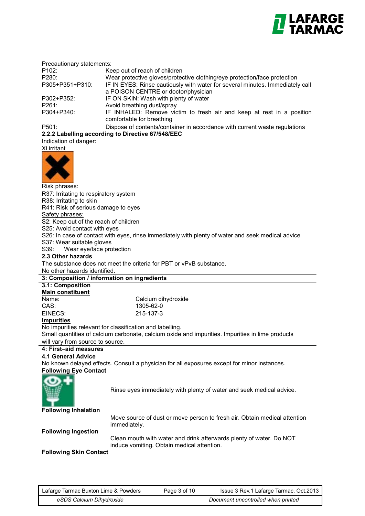

| Precautionary statements:             |                                                                                                   |
|---------------------------------------|---------------------------------------------------------------------------------------------------|
| P <sub>102</sub> :                    | Keep out of reach of children                                                                     |
| P280:                                 | Wear protective gloves/protective clothing/eye protection/face protection                         |
| P305+P351+P310:                       | IF IN EYES: Rinse cautiously with water for several minutes. Immediately call                     |
|                                       | a POISON CENTRE or doctor/physician                                                               |
| P302+P352:                            | IF ON SKIN: Wash with plenty of water                                                             |
| P261:                                 | Avoid breathing dust/spray                                                                        |
| P304+P340:                            | IF INHALED: Remove victim to fresh air and keep at rest in a position                             |
|                                       | comfortable for breathing                                                                         |
| P501:                                 | Dispose of contents/container in accordance with current waste regulations                        |
|                                       | 2.2.2 Labelling according to Directive 67/548/EEC                                                 |
| Indication of danger:                 |                                                                                                   |
| Xi irritant                           |                                                                                                   |
|                                       |                                                                                                   |
|                                       |                                                                                                   |
|                                       |                                                                                                   |
|                                       |                                                                                                   |
| Risk phrases:                         |                                                                                                   |
| R37: Irritating to respiratory system |                                                                                                   |
| R38: Irritating to skin               |                                                                                                   |
| R41: Risk of serious damage to eyes   |                                                                                                   |
| Safety phrases:                       |                                                                                                   |
| S2: Keep out of the reach of children |                                                                                                   |
| S25: Avoid contact with eyes          |                                                                                                   |
|                                       | S26: In case of contact with eyes, rinse immediately with plenty of water and seek medical advice |
| S37: Wear suitable gloves             |                                                                                                   |
| S39:<br>Wear eye/face protection      |                                                                                                   |
| 2.3 Other hazards                     |                                                                                                   |
|                                       |                                                                                                   |
|                                       | The substance does not meet the criteria for PBT or vPvB substance.                               |
| No other hazards identified.          |                                                                                                   |
|                                       | 3: Composition / information on ingredients                                                       |
| 3.1: Composition                      |                                                                                                   |
| <b>Main constituent</b>               |                                                                                                   |
| Name:                                 | Calcium dihydroxide                                                                               |
| CAS:                                  | 1305-62-0                                                                                         |
| EINECS:                               | 215-137-3                                                                                         |
| <b>Impurities</b>                     |                                                                                                   |
|                                       | No impurities relevant for classification and labelling.                                          |
|                                       | Small quantities of calcium carbonate, calcium oxide and impurities. Impurities in lime products  |
| will vary from source to source.      |                                                                                                   |
| 4: First-aid measures                 |                                                                                                   |
| <b>4.1 General Advice</b>             |                                                                                                   |
|                                       | No known delayed effects. Consult a physician for all exposures except for minor instances.       |
| <b>Following Eye Contact</b>          |                                                                                                   |
|                                       |                                                                                                   |
|                                       | Rinse eyes immediately with plenty of water and seek medical advice.                              |
|                                       |                                                                                                   |
|                                       |                                                                                                   |
| <b>Following Inhalation</b>           |                                                                                                   |
|                                       | Move source of dust or move person to fresh air. Obtain medical attention                         |
|                                       | immediately.                                                                                      |
| <b>Following Ingestion</b>            |                                                                                                   |
|                                       | Clean mouth with water and drink afterwards plenty of water. Do NOT                               |
| <b>Following Skin Contact</b>         | induce vomiting. Obtain medical attention.                                                        |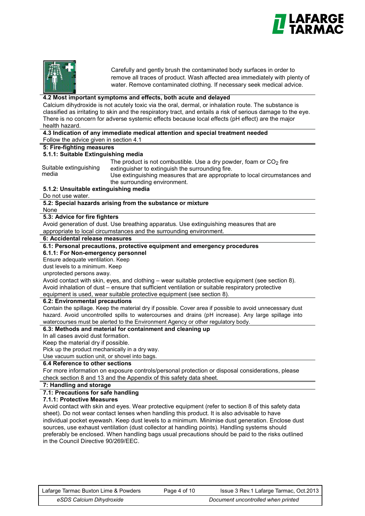



Carefully and gently brush the contaminated body surfaces in order to remove all traces of product. Wash affected area immediately with plenty of water. Remove contaminated clothing. If necessary seek medical advice.

#### **4.2 Most important symptoms and effects, both acute and delayed**

Calcium dihydroxide is not acutely toxic via the oral, dermal, or inhalation route. The substance is classified as irritating to skin and the respiratory tract, and entails a risk of serious damage to the eye. There is no concern for adverse systemic effects because local effects (pH effect) are the major health hazard.

|                                                | 4.3 Indication of any immediate medical attention and special treatment needed                                                                                                                                                                                                                       |
|------------------------------------------------|------------------------------------------------------------------------------------------------------------------------------------------------------------------------------------------------------------------------------------------------------------------------------------------------------|
| Follow the advice given in section 4.1         |                                                                                                                                                                                                                                                                                                      |
| 5: Fire-fighting measures                      |                                                                                                                                                                                                                                                                                                      |
| 5.1.1: Suitable Extinguishing media            |                                                                                                                                                                                                                                                                                                      |
| Suitable extinguishing<br>media                | The product is not combustible. Use a dry powder, foam or $CO2$ fire<br>extinguisher to extinguish the surrounding fire.<br>Use extinguishing measures that are appropriate to local circumstances and<br>the surrounding environment.                                                               |
| 5.1.2: Unsuitable extinguishing media          |                                                                                                                                                                                                                                                                                                      |
| Do not use water.                              |                                                                                                                                                                                                                                                                                                      |
|                                                | 5.2: Special hazards arising from the substance or mixture                                                                                                                                                                                                                                           |
| None                                           |                                                                                                                                                                                                                                                                                                      |
| 5.3: Advice for fire fighters                  |                                                                                                                                                                                                                                                                                                      |
|                                                | Avoid generation of dust. Use breathing apparatus. Use extinguishing measures that are                                                                                                                                                                                                               |
|                                                | appropriate to local circumstances and the surrounding environment.                                                                                                                                                                                                                                  |
| 6: Accidental release measures                 |                                                                                                                                                                                                                                                                                                      |
|                                                | 6.1: Personal precautions, protective equipment and emergency procedures                                                                                                                                                                                                                             |
| 6.1.1: For Non-emergency personnel             |                                                                                                                                                                                                                                                                                                      |
| Ensure adequate ventilation. Keep              |                                                                                                                                                                                                                                                                                                      |
| dust levels to a minimum. Keep                 |                                                                                                                                                                                                                                                                                                      |
| unprotected persons away.                      |                                                                                                                                                                                                                                                                                                      |
|                                                | Avoid contact with skin, eyes, and clothing – wear suitable protective equipment (see section 8).                                                                                                                                                                                                    |
|                                                | Avoid inhalation of dust – ensure that sufficient ventilation or suitable respiratory protective<br>equipment is used, wear suitable protective equipment (see section 8).                                                                                                                           |
| 6.2: Environmental precautions                 |                                                                                                                                                                                                                                                                                                      |
|                                                | Contain the spillage. Keep the material dry if possible. Cover area if possible to avoid unnecessary dust<br>hazard. Avoid uncontrolled spills to watercourses and drains (pH increase). Any large spillage into<br>watercourses must be alerted to the Environment Agency or other regulatory body. |
|                                                | 6.3: Methods and material for containment and cleaning up                                                                                                                                                                                                                                            |
| In all cases avoid dust formation.             |                                                                                                                                                                                                                                                                                                      |
| Keep the material dry if possible.             |                                                                                                                                                                                                                                                                                                      |
| Pick up the product mechanically in a dry way. |                                                                                                                                                                                                                                                                                                      |
| Use vacuum suction unit, or shovel into bags.  |                                                                                                                                                                                                                                                                                                      |
| 6.4 Reference to other sections                |                                                                                                                                                                                                                                                                                                      |
|                                                | For more information on exposure controls/personal protection or disposal considerations, please                                                                                                                                                                                                     |
|                                                | check section 8 and 13 and the Appendix of this safety data sheet.                                                                                                                                                                                                                                   |
| 7: Handling and storage                        |                                                                                                                                                                                                                                                                                                      |
| 7.1: Precautions for safe handling             |                                                                                                                                                                                                                                                                                                      |
| 7.1.1: Protective Measures                     |                                                                                                                                                                                                                                                                                                      |
|                                                | Avoid contact with skin and eyes. Wear protective equipment (refer to section 8 of this safety data                                                                                                                                                                                                  |
|                                                | sheet). Do not wear contact lenses when handling this product. It is also advisable to have                                                                                                                                                                                                          |
|                                                | individual pocket eyewash. Keep dust levels to a minimum. Minimise dust generation. Enclose dust<br>sources, use exhaust ventilation (dust collector at handling points). Handling systems should                                                                                                    |

se exhaust ventilation (dust collector at handling points). Handling preferably be enclosed. When handling bags usual precautions should be paid to the risks outlined in the Council Directive 90/269/EEC.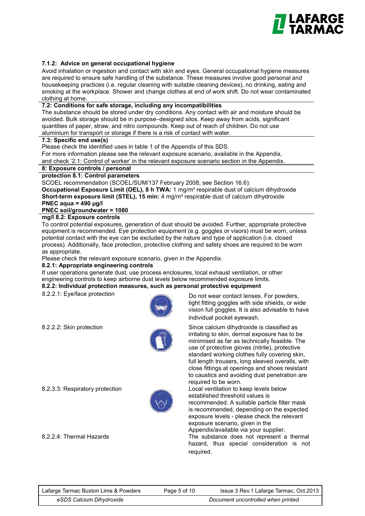

#### **7.1.2: Advice on general occupational hygiene**

Avoid inhalation or ingestion and contact with skin and eyes. General occupational hygiene measures are required to ensure safe handling of the substance. These measures involve good personal and housekeeping practices (i.e. regular cleaning with suitable cleaning devices), no drinking, eating and smoking at the workplace. Shower and change clothes at end of work shift. Do not wear contaminated clothing at home.

#### **7.2: Conditions for safe storage, including any incompatibilities**

The substance should be stored under dry conditions. Any contact with air and moisture should be avoided. Bulk storage should be in purpose–designed silos. Keep away from acids, significant quantities of paper, straw, and nitro compounds. Keep out of reach of children. Do not use aluminium for transport or storage if there is a risk of contact with water.

#### **7.3: Specific end use(s)**

Please check the identified uses in table 1 of the Appendix of this SDS.

For more information please see the relevant exposure scenario, available in the Appendix,

and check '2.1: Control of worker' in the relevant exposure scenario section in the Appendix.

#### **8: Exposure controls / personal**

#### **protection 8.1: Control parameters**

SCOEL recommendation (SCOEL/SUM/137 February 2008; see Section 16.6): **Occupational Exposure Limit (OEL), 8 h TWA:** 1 mg/m<sup>3</sup> respirable dust of calcium dihydroxide **Short-term exposure limit (STEL), 15 min:** 4 mg/m<sup>3</sup> respirable dust of calcium dihydroxide **PNEC aqua = 490 μg/l**

#### **PNEC soil/groundwater = 1080**

#### **mg/l 8.2: Exposure controls**

To control potential exposures, generation of dust should be avoided. Further, appropriate protective equipment is recommended. Eye protection equipment (e.g. goggles or visors) must be worn, unless potential contact with the eye can be excluded by the nature and type of application (i.e. closed process). Additionally, face protection, protective clothing and safety shoes are required to be worn as appropriate.

Please check the relevant exposure scenario, given in the Appendix.

#### **8.2.1: Appropriate engineering controls**

If user operations generate dust, use process enclosures, local exhaust ventilation, or other engineering controls to keep airborne dust levels below recommended exposure limits.

#### **8.2.2: Individual protection measures, such as personal protective equipment**







8.2.2.1: Eye/face protection Do not wear contact lenses. For powders, tight fitting goggles with side shields, or wide vision full goggles. It is also advisable to have individual pocket eyewash.

8.2.2.2: Skin protection Since calcium dihydroxide is classified as irritating to skin, dermal exposure has to be minimised as far as technically feasible. The use of protective gloves (nitrile), protective standard working clothes fully covering skin, full length trousers, long sleeved overalls, with close fittings at openings and shoes resistant to caustics and avoiding dust penetration are required to be worn.

8.2.3.3: Respiratory protection Local ventilation to keep levels below established threshold values is recommended. A suitable particle filter mask is recommended, depending on the expected exposure levels - please check the relevant exposure scenario, given in the Appendix/available via your supplier. 8.2.2.4: Thermal Hazards The substance does not represent a thermal hazard, thus special consideration is not required.

| Lafarge Tarmac Buxton Lime & Powders |  |
|--------------------------------------|--|
| eSDS Calcium Dihydroxide             |  |

Page 5 of 10

*eSDS Calcium Dihydroxide Document uncontrolled when printed* Lafarge Tarmac Buxton Lime & Powders Issue 3 Rev.1 Lafarge Tarmac, Oct.2013**Document uncontrolled when printed**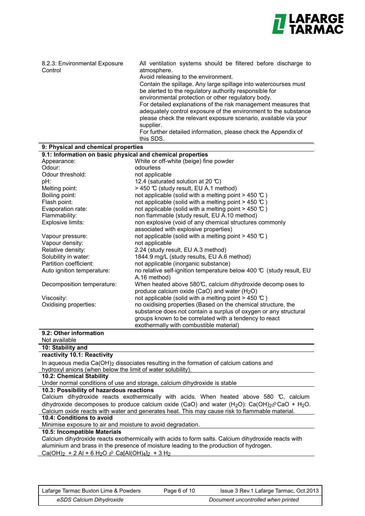

| 8.2.3: Environmental Exposure<br>Control                                                                                                                                                      | All ventilation systems should be filtered before discharge to<br>atmosphere.<br>Avoid releasing to the environment.<br>Contain the spillage. Any large spillage into watercourses must<br>be alerted to the regulatory authority responsible for<br>environmental protection or other regulatory body.<br>For detailed explanations of the risk management measures that<br>adequately control exposure of the environment to the substance<br>please check the relevant exposure scenario, available via your<br>supplier.<br>For further detailed information, please check the Appendix of<br>this SDS. |
|-----------------------------------------------------------------------------------------------------------------------------------------------------------------------------------------------|-------------------------------------------------------------------------------------------------------------------------------------------------------------------------------------------------------------------------------------------------------------------------------------------------------------------------------------------------------------------------------------------------------------------------------------------------------------------------------------------------------------------------------------------------------------------------------------------------------------|
| 9: Physical and chemical properties                                                                                                                                                           |                                                                                                                                                                                                                                                                                                                                                                                                                                                                                                                                                                                                             |
| 9.1: Information on basic physical and chemical properties                                                                                                                                    |                                                                                                                                                                                                                                                                                                                                                                                                                                                                                                                                                                                                             |
| Appearance:<br>Odour:                                                                                                                                                                         | White or off-white (beige) fine powder<br>odourless                                                                                                                                                                                                                                                                                                                                                                                                                                                                                                                                                         |
| Odour threshold:                                                                                                                                                                              | not applicable                                                                                                                                                                                                                                                                                                                                                                                                                                                                                                                                                                                              |
| pH:                                                                                                                                                                                           | 12.4 (saturated solution at 20 °C)                                                                                                                                                                                                                                                                                                                                                                                                                                                                                                                                                                          |
| Melting point:                                                                                                                                                                                | > 450 ℃ (study result, EU A.1 method)                                                                                                                                                                                                                                                                                                                                                                                                                                                                                                                                                                       |
| Boiling point:                                                                                                                                                                                | not applicable (solid with a melting point $>$ 450 °C)                                                                                                                                                                                                                                                                                                                                                                                                                                                                                                                                                      |
| Flash point:                                                                                                                                                                                  | not applicable (solid with a melting point $>$ 450 °C)                                                                                                                                                                                                                                                                                                                                                                                                                                                                                                                                                      |
| Evaporation rate:                                                                                                                                                                             | not applicable (solid with a melting point $> 450$ °C)                                                                                                                                                                                                                                                                                                                                                                                                                                                                                                                                                      |
| Flammability:                                                                                                                                                                                 | non flammable (study result, EU A.10 method)                                                                                                                                                                                                                                                                                                                                                                                                                                                                                                                                                                |
| Explosive limits:                                                                                                                                                                             | non explosive (void of any chemical structures commonly                                                                                                                                                                                                                                                                                                                                                                                                                                                                                                                                                     |
|                                                                                                                                                                                               | associated with explosive properties)                                                                                                                                                                                                                                                                                                                                                                                                                                                                                                                                                                       |
| Vapour pressure:<br>Vapour density:                                                                                                                                                           | not applicable (solid with a melting point $>$ 450 °C)<br>not applicable                                                                                                                                                                                                                                                                                                                                                                                                                                                                                                                                    |
| Relative density:                                                                                                                                                                             | 2.24 (study result, EU A.3 method)                                                                                                                                                                                                                                                                                                                                                                                                                                                                                                                                                                          |
| Solubility in water:                                                                                                                                                                          | 1844.9 mg/L (study results, EU A.6 method)                                                                                                                                                                                                                                                                                                                                                                                                                                                                                                                                                                  |
| Partition coefficient:                                                                                                                                                                        | not applicable (inorganic substance)                                                                                                                                                                                                                                                                                                                                                                                                                                                                                                                                                                        |
| Auto ignition temperature:                                                                                                                                                                    | no relative self-ignition temperature below 400 $\mathbb C$ (study result, EU                                                                                                                                                                                                                                                                                                                                                                                                                                                                                                                               |
|                                                                                                                                                                                               | A.16 method)                                                                                                                                                                                                                                                                                                                                                                                                                                                                                                                                                                                                |
| Decomposition temperature:                                                                                                                                                                    | When heated above 580°C, calcium dihydroxide decomp oses to                                                                                                                                                                                                                                                                                                                                                                                                                                                                                                                                                 |
|                                                                                                                                                                                               | produce calcium oxide (CaO) and water $(H2O)$                                                                                                                                                                                                                                                                                                                                                                                                                                                                                                                                                               |
| Viscosity:<br>Oxidising properties:                                                                                                                                                           | not applicable (solid with a melting point $>$ 450 °C)<br>no oxidising properties (Based on the chemical structure, the                                                                                                                                                                                                                                                                                                                                                                                                                                                                                     |
|                                                                                                                                                                                               | substance does not contain a surplus of oxygen or any structural                                                                                                                                                                                                                                                                                                                                                                                                                                                                                                                                            |
|                                                                                                                                                                                               | groups known to be correlated with a tendency to react                                                                                                                                                                                                                                                                                                                                                                                                                                                                                                                                                      |
|                                                                                                                                                                                               | exothermally with combustible material)                                                                                                                                                                                                                                                                                                                                                                                                                                                                                                                                                                     |
| 9.2: Other information                                                                                                                                                                        |                                                                                                                                                                                                                                                                                                                                                                                                                                                                                                                                                                                                             |
| Not available                                                                                                                                                                                 |                                                                                                                                                                                                                                                                                                                                                                                                                                                                                                                                                                                                             |
| 10: Stability and                                                                                                                                                                             |                                                                                                                                                                                                                                                                                                                                                                                                                                                                                                                                                                                                             |
| reactivity 10.1: Reactivity                                                                                                                                                                   |                                                                                                                                                                                                                                                                                                                                                                                                                                                                                                                                                                                                             |
|                                                                                                                                                                                               | In aqueous media $Ca(OH)2$ dissociates resulting in the formation of calcium cations and                                                                                                                                                                                                                                                                                                                                                                                                                                                                                                                    |
| hydroxyl anions (when below the limit of water solubility).                                                                                                                                   |                                                                                                                                                                                                                                                                                                                                                                                                                                                                                                                                                                                                             |
| 10.2: Chemical Stability                                                                                                                                                                      | Under normal conditions of use and storage, calcium dihydroxide is stable                                                                                                                                                                                                                                                                                                                                                                                                                                                                                                                                   |
| 10.3: Possibility of hazardous reactions                                                                                                                                                      |                                                                                                                                                                                                                                                                                                                                                                                                                                                                                                                                                                                                             |
|                                                                                                                                                                                               | Calcium dihydroxide reacts exothermically with acids. When heated above 580 °C, calcium                                                                                                                                                                                                                                                                                                                                                                                                                                                                                                                     |
|                                                                                                                                                                                               | dihydroxide decomposes to produce calcium oxide (CaO) and water (H <sub>2</sub> O): Ca(OH) <sub>2</sub> $\hat{\varphi}$ CaO + H <sub>2</sub> O.                                                                                                                                                                                                                                                                                                                                                                                                                                                             |
|                                                                                                                                                                                               | Calcium oxide reacts with water and generates heat. This may cause risk to flammable material.                                                                                                                                                                                                                                                                                                                                                                                                                                                                                                              |
| 10.4: Conditions to avoid                                                                                                                                                                     |                                                                                                                                                                                                                                                                                                                                                                                                                                                                                                                                                                                                             |
| Minimise exposure to air and moisture to avoid degradation.                                                                                                                                   |                                                                                                                                                                                                                                                                                                                                                                                                                                                                                                                                                                                                             |
| 10.5: Incompatible Materials                                                                                                                                                                  |                                                                                                                                                                                                                                                                                                                                                                                                                                                                                                                                                                                                             |
| Calcium dihydroxide reacts exothermically with acids to form salts. Calcium dihydroxide reacts with<br>aluminium and brass in the presence of moisture leading to the production of hydrogen. |                                                                                                                                                                                                                                                                                                                                                                                                                                                                                                                                                                                                             |
| Ca(OH) <sub>2</sub> + 2 Al + 6 H <sub>2</sub> O $\hat{\varphi}$ Ca[Al(OH) <sub>4</sub> ] <sub>2</sub> + 3 H <sub>2</sub>                                                                      |                                                                                                                                                                                                                                                                                                                                                                                                                                                                                                                                                                                                             |
|                                                                                                                                                                                               |                                                                                                                                                                                                                                                                                                                                                                                                                                                                                                                                                                                                             |
|                                                                                                                                                                                               |                                                                                                                                                                                                                                                                                                                                                                                                                                                                                                                                                                                                             |

*eSDS Calcium Dihydroxide Document uncontrolled when printed* Lafarge Tarmac Buxton Lime & Powders Issue 3 Rev.1 Lafarge Tarmac, Oct.2013eSDS Calcium Dihydroxide **Document uncontrolled when printed**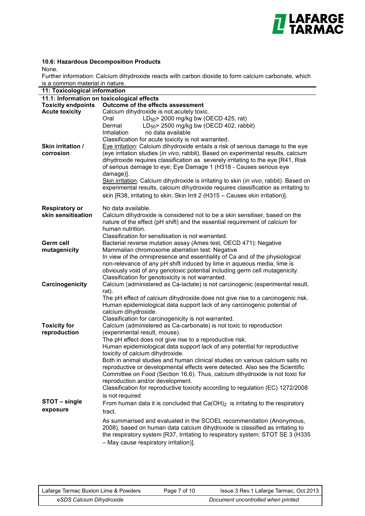

#### **10.6: Hazardous Decomposition Products**

None.

Further information: Calcium dihydroxide reacts with carbon dioxide to form calcium carbonate, which is a common material in nature.

| 11: Toxicological information |                                                                                        |
|-------------------------------|----------------------------------------------------------------------------------------|
|                               | 11.1: Information on toxicological effects                                             |
| <b>Toxicity endpoints</b>     | Outcome of the effects assessment                                                      |
| <b>Acute toxicity</b>         | Calcium dihydroxide is not acutely toxic.                                              |
|                               | LD <sub>50</sub> > 2000 mg/kg bw (OECD 425, rat)<br>Oral                               |
|                               | LD <sub>50</sub> > 2500 mg/kg bw (OECD 402, rabbit)                                    |
|                               | Dermal                                                                                 |
|                               | no data available<br><b>Inhalation</b>                                                 |
|                               | Classification for acute toxicity is not warranted.                                    |
| Skin irritation /             | Eye irritation: Calcium dihydroxide entails a risk of serious damage to the eye        |
| corrosion                     | (eye irritation studies (in vivo, rabbit). Based on experimental results, calcium      |
|                               | dihydroxide requires classification as severely irritating to the eye [R41, Risk]      |
|                               | of serious damage to eye; Eye Damage 1 (H318 - Causes serious eye                      |
|                               | damage)].                                                                              |
|                               | Skin irritation: Calcium dihydroxide is irritating to skin (in vivo, rabbit). Based on |
|                               | experimental results, calcium dihydroxide requires classification as irritating to     |
|                               | skin [R38, irritating to skin; Skin Irrit 2 (H315 - Causes skin irritation)].          |
|                               |                                                                                        |
| <b>Respiratory or</b>         | No data available.                                                                     |
| skin sensitisation            | Calcium dihydroxide is considered not to be a skin sensitiser, based on the            |
|                               | nature of the effect (pH shift) and the essential requirement of calcium for           |
|                               | human nutrition.                                                                       |
|                               | Classification for sensitisation is not warranted.                                     |
|                               |                                                                                        |
| Germ cell                     | Bacterial reverse mutation assay (Ames test, OECD 471): Negative                       |
| mutagenicity                  | Mammalian chromosome aberration test: Negative                                         |
|                               | In view of the omnipresence and essentiality of Ca and of the physiological            |
|                               | non-relevance of any pH shift induced by lime in aqueous media, lime is                |
|                               | obviously void of any genotoxic potential including germ cell mutagenicity.            |
|                               | Classification for genotoxicity is not warranted.                                      |
| Carcinogenicity               | Calcium (administered as Ca-lactate) is not carcinogenic (experimental result,         |
|                               | rat).                                                                                  |
|                               | The pH effect of calcium dihydroxide does not give rise to a carcinogenic risk.        |
|                               | Human epidemiological data support lack of any carcinogenic potential of               |
|                               | calcium dihydroxide.                                                                   |
|                               | Classification for carcinogenicity is not warranted.                                   |
| <b>Toxicity for</b>           | Calcium (administered as Ca-carbonate) is not toxic to reproduction                    |
| reproduction                  | (experimental result, mouse).                                                          |
|                               | The pH effect does not give rise to a reproductive risk.                               |
|                               | Human epidemiological data support lack of any potential for reproductive              |
|                               |                                                                                        |
|                               | toxicity of calcium dihydroxide.                                                       |
|                               | Both in animal studies and human clinical studies on various calcium salts no          |
|                               | reproductive or developmental effects were detected. Also see the Scientific           |
|                               | Committee on Food (Section 16.6). Thus, calcium dihydroxide is not toxic for           |
|                               | reproduction and/or development.                                                       |
|                               | Classification for reproductive toxicity according to regulation (EC) 1272/2008        |
|                               | is not required                                                                        |
| STOT-single                   | From human data it is concluded that $Ca(OH)_2$ is irritating to the respiratory       |
| exposure                      |                                                                                        |
|                               | tract.                                                                                 |
|                               | As summarised and evaluated in the SCOEL recommendation (Anonymous,                    |
|                               | 2008), based on human data calcium dihydroxide is classified as irritating to          |
|                               | the respiratory system [R37, Irritating to respiratory system; STOT SE 3 (H335)        |
|                               | - May cause respiratory irritation)].                                                  |
|                               |                                                                                        |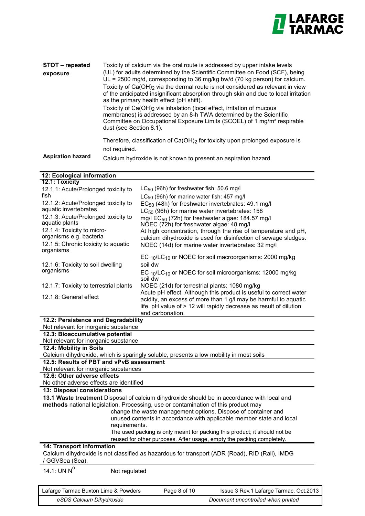

| STOT – repeated<br>exposure | Toxicity of calcium via the oral route is addressed by upper intake levels<br>(UL) for adults determined by the Scientific Committee on Food (SCF), being<br>$UL = 2500$ mg/d, corresponding to 36 mg/kg bw/d (70 kg person) for calcium.<br>Toxicity of $Ca(OH)_{2}$ via the dermal route is not considered as relevant in view<br>of the anticipated insignificant absorption through skin and due to local irritation<br>as the primary health effect (pH shift).<br>Toxicity of Ca(OH) <sub>2</sub> via inhalation (local effect, irritation of mucous<br>membranes) is addressed by an 8-h TWA determined by the Scientific<br>Committee on Occupational Exposure Limits (SCOEL) of 1 mg/m <sup>3</sup> respirable<br>dust (see Section 8.1). |
|-----------------------------|----------------------------------------------------------------------------------------------------------------------------------------------------------------------------------------------------------------------------------------------------------------------------------------------------------------------------------------------------------------------------------------------------------------------------------------------------------------------------------------------------------------------------------------------------------------------------------------------------------------------------------------------------------------------------------------------------------------------------------------------------|
| <b>Aspiration hazard</b>    | Therefore, classification of $Ca(OH)_2$ for toxicity upon prolonged exposure is<br>not required.<br>Calcium hydroxide is not known to present an aspiration hazard.                                                                                                                                                                                                                                                                                                                                                                                                                                                                                                                                                                                |

| 12: Ecological information                                   |                                                                                                           |
|--------------------------------------------------------------|-----------------------------------------------------------------------------------------------------------|
| 12.1: Toxicity                                               |                                                                                                           |
| 12.1.1: Acute/Prolonged toxicity to                          | $LC_{50}$ (96h) for freshwater fish: 50.6 mg/l                                                            |
| fish                                                         | LC <sub>50</sub> (96h) for marine water fish: 457 mg/l                                                    |
| 12.1.2: Acute/Prolonged toxicity to<br>aquatic invertebrates | EC <sub>50</sub> (48h) for freshwater invertebrates: 49.1 mg/l                                            |
| 12.1.3: Acute/Prolonged toxicity to                          | $LC_{50}$ (96h) for marine water invertebrates: 158                                                       |
| aquatic plants                                               | mg/l EC <sub>50</sub> (72h) for freshwater algae: 184.57 mg/l<br>NOEC (72h) for freshwater algae: 48 mg/l |
| 12.1.4: Toxicity to micro-                                   | At high concentration, through the rise of temperature and pH,                                            |
| organisms e.g. bacteria                                      | calcium dihydroxide is used for disinfection of sewage sludges.                                           |
| 12.1.5: Chronic toxicity to aquatic                          | NOEC (14d) for marine water invertebrates: 32 mg/l                                                        |
| organisms                                                    |                                                                                                           |
|                                                              | EC 10/LC10 or NOEC for soil macroorganisms: 2000 mg/kg                                                    |
| 12.1.6: Toxicity to soil dwelling                            | soil dw                                                                                                   |
| organisms                                                    | EC 10/LC10 or NOEC for soil microorganisms: 12000 mg/kg                                                   |
|                                                              | soil dw                                                                                                   |
| 12.1.7: Toxicity to terrestrial plants                       | NOEC (21d) for terrestrial plants: 1080 mg/kg                                                             |
| 12.1.8: General effect                                       | Acute pH effect. Although this product is useful to correct water                                         |
|                                                              | acidity, an excess of more than 1 g/l may be harmful to aquatic                                           |
|                                                              | life. pH value of > 12 will rapidly decrease as result of dilution<br>and carbonation.                    |
| 12.2: Persistence and Degradability                          |                                                                                                           |
| Not relevant for inorganic substance                         |                                                                                                           |
| 12.3: Bioaccumulative potential                              |                                                                                                           |
| Not relevant for inorganic substance                         |                                                                                                           |
| 12.4: Mobility in Soils                                      |                                                                                                           |
|                                                              | Calcium dihydroxide, which is sparingly soluble, presents a low mobility in most soils                    |
| 12.5: Results of PBT and vPvB assessment                     |                                                                                                           |
| Not relevant for inorganic substances                        |                                                                                                           |
| 12.6: Other adverse effects                                  |                                                                                                           |
| No other adverse effects are identified                      |                                                                                                           |
| 13: Disposal considerations                                  |                                                                                                           |
|                                                              | 13.1 Waste treatment Disposal of calcium dihydroxide should be in accordance with local and               |
|                                                              | methods national legislation. Processing, use or contamination of this product may                        |
|                                                              | change the waste management options. Dispose of container and                                             |
| requirements.                                                | unused contents in accordance with applicable member state and local                                      |
|                                                              | The used packing is only meant for packing this product; it should not be                                 |
|                                                              | reused for other purposes. After usage, empty the packing completely.                                     |
| <b>14: Transport information</b>                             |                                                                                                           |
| / GGVSea (Sea).                                              | Calcium dihydroxide is not classified as hazardous for transport (ADR (Road), RID (Rail), IMDG            |
| 14.1: UN $N^0$<br>Not regulated                              |                                                                                                           |
|                                                              |                                                                                                           |
|                                                              |                                                                                                           |
| Lafarge Tarmac Buxton Lime & Powders                         | Page 8 of 10<br>Issue 3 Rev.1 Lafarge Tarmac, Oct.2013                                                    |

eSDS Calcium Dihydroxide **Discussed as a controlled when printed** printed

Page 8 of 10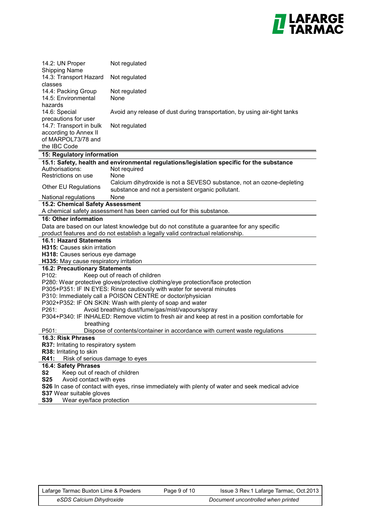

| 14.2: UN Proper<br><b>Shipping Name</b>                                                          | Not regulated                                                                                    |
|--------------------------------------------------------------------------------------------------|--------------------------------------------------------------------------------------------------|
| 14.3: Transport Hazard                                                                           | Not regulated                                                                                    |
| classes                                                                                          |                                                                                                  |
| 14.4: Packing Group                                                                              | Not regulated                                                                                    |
| 14.5: Environmental                                                                              | None                                                                                             |
| hazards                                                                                          |                                                                                                  |
| 14.6: Special                                                                                    | Avoid any release of dust during transportation, by using air-tight tanks                        |
| precautions for user                                                                             |                                                                                                  |
| 14.7: Transport in bulk                                                                          | Not regulated                                                                                    |
| according to Annex II                                                                            |                                                                                                  |
| of MARPOL73/78 and                                                                               |                                                                                                  |
| the IBC Code                                                                                     |                                                                                                  |
| <b>15: Regulatory information</b>                                                                |                                                                                                  |
|                                                                                                  | 15.1: Safety, health and environmental regulations/legislation specific for the substance        |
| Authorisations:                                                                                  | Not required                                                                                     |
| Restrictions on use                                                                              | None                                                                                             |
| Other EU Regulations                                                                             | Calcium dihydroxide is not a SEVESO substance, not an ozone-depleting                            |
|                                                                                                  | substance and not a persistent organic pollutant.                                                |
| National regulations<br>15.2: Chemical Safety Assessment                                         | None                                                                                             |
|                                                                                                  | A chemical safety assessment has been carried out for this substance.                            |
| <b>16: Other information</b>                                                                     |                                                                                                  |
|                                                                                                  | Data are based on our latest knowledge but do not constitute a guarantee for any specific        |
|                                                                                                  | product features and do not establish a legally valid contractual relationship.                  |
| <b>16.1: Hazard Statements</b>                                                                   |                                                                                                  |
| H315: Causes skin irritation                                                                     |                                                                                                  |
| H318: Causes serious eye damage                                                                  |                                                                                                  |
| H335: May cause respiratory irritation                                                           |                                                                                                  |
| <b>16.2: Precautionary Statements</b>                                                            |                                                                                                  |
| P102:                                                                                            | Keep out of reach of children                                                                    |
|                                                                                                  | P280: Wear protective gloves/protective clothing/eye protection/face protection                  |
|                                                                                                  | P305+P351: IF IN EYES: Rinse cautiously with water for several minutes                           |
|                                                                                                  | P310: Immediately call a POISON CENTRE or doctor/physician                                       |
|                                                                                                  | P302+P352: IF ON SKIN: Wash with plenty of soap and water                                        |
| P261:                                                                                            | Avoid breathing dust/fume/gas/mist/vapours/spray                                                 |
|                                                                                                  | P304+P340: IF INHALED: Remove victim to fresh air and keep at rest in a position comfortable for |
| breathing                                                                                        |                                                                                                  |
| P501:                                                                                            | Dispose of contents/container in accordance with current waste regulations                       |
| 16.3: Risk Phrases<br>R37: Irritating to respiratory system                                      |                                                                                                  |
| R38: Irritating to skin                                                                          |                                                                                                  |
| R41:<br>Risk of serious damage to eyes                                                           |                                                                                                  |
| 16.4: Safety Phrases                                                                             |                                                                                                  |
| Keep out of reach of children<br>S <sub>2</sub>                                                  |                                                                                                  |
| <b>S25</b><br>Avoid contact with eyes                                                            |                                                                                                  |
| S26 In case of contact with eyes, rinse immediately with plenty of water and seek medical advice |                                                                                                  |
| <b>S37 Wear suitable gloves</b>                                                                  |                                                                                                  |
| S39<br>Wear eye/face protection                                                                  |                                                                                                  |

Tarmac Buxton Lime and Cement Page 8 of 9 Issue 3, January 2011 Page 9 of 10